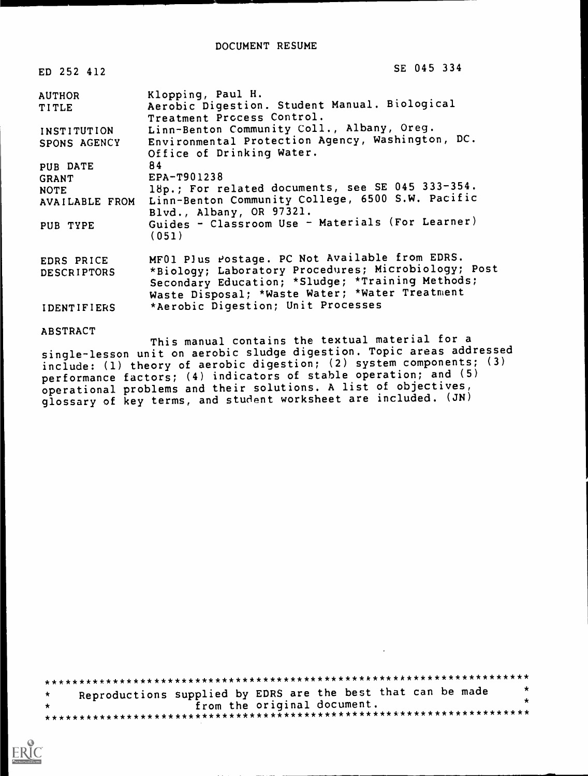| ED 252 412                                         | SE 045 334                                                                                                                                                                                                  |
|----------------------------------------------------|-------------------------------------------------------------------------------------------------------------------------------------------------------------------------------------------------------------|
| <b>AUTHOR</b><br>TITLE                             | Klopping, Paul H.<br>Aerobic Digestion. Student Manual. Biological<br>Treatment Process Control.                                                                                                            |
| INSTITUTION<br>SPONS AGENCY                        | Linn-Benton Community Coll., Albany, Oreg.<br>Environmental Protection Agency, Washington, DC.<br>Office of Drinking Water.                                                                                 |
| PUB DATE<br><b>GRANT</b><br>NOTE<br>AVAILABLE FROM | 84<br>$EPA-T901238$<br>18p.; For related documents, see SE 045 333-354.<br>Linn-Benton Community College, 6500 S.W. Pacific                                                                                 |
| PUB TYPE                                           | Blvd., Albany, OR 97321.<br>Guides - Classroom Use - Materials (For Learner)<br>(051)                                                                                                                       |
| EDRS PRICE<br><b>DESCRIPTORS</b>                   | MF01 Plus rostage. PC Not Available from EDRS.<br>*Biology; Laboratory Procedures; Microbiology; Post<br>Secondary Education; *Sludge; *Training Methods;<br>Waste Disposal; *Waste Water; *Water Treatment |
| <b>IDENTIFIERS</b>                                 | *Aerobic Digestion; Unit Processes                                                                                                                                                                          |
| <b>ABSTRACT</b>                                    |                                                                                                                                                                                                             |

This manual contains the textual material for a single-lesson unit on aerobic sludge digestion. Topic areas addressed include: (1) theory of aerobic digestion; (2) system components; (3) performance factors; (4) indicators of stable operation; and (5) operational problems and their solutions. A list of objectives, glossary of key terms, and student worksheet are included. (JN)

| Reproductions supplied by EDRS are the best that can be made | $\star$ |
|--------------------------------------------------------------|---------|
| from the original document.                                  | - 52    |
|                                                              |         |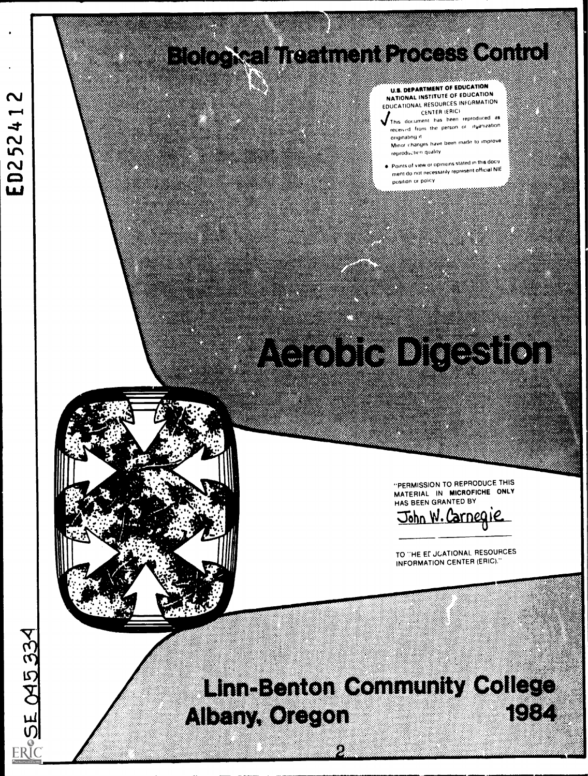## <u> Line Soon en in die Afrikaans</u> E. ALE ANGELIA



TO THE ET JOATIONAL RESOURCES INFORMATION CENTER (ERIC)."

HAS BEEN GRANTED BY John W. Carnegie

"PERMISSION TO REPRODUCE THIS MATERIAL IN MICROFICHE ONLY

# 

## 

U.S. DEPARTMENT OF EDUCATION NATIONAL INSTITUTE OF EDUCATION EDUCATIONAL RESOURCES INFORMATION

CENTER (ERIC)

reproduction quality

position or policy

received from the person or irganization

**Points of view or opinions stated in this doculated** ment do not necessarily represent official NIE

This document has heen reproduced as

orgnatinp it Minor Changes have been made to improve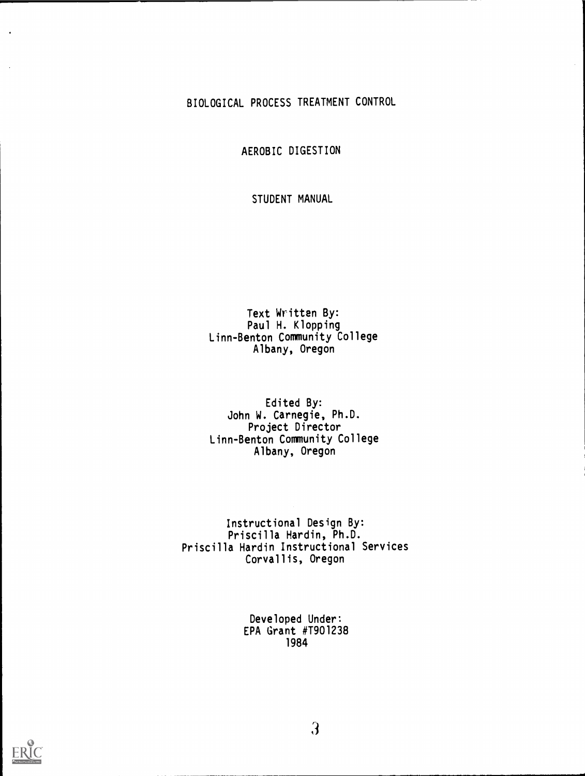#### BIOLOGICAL PROCESS TREATMENT CONTROL

AEROBIC DIGESTION

STUDENT MANUAL

#### Text Written By: Paul H. Klopping Linn-Benton Community College Albany, Oregon

#### Edited By: John W. Carnegie, Ph.D. Project Director Linn-Benton Community College Albany, Oregon

Instructional Design By: Priscilla Hardin, Ph.D. Priscilla Hardin Instructional Services Corvallis, Oregon

> Developed Under: EPA Grant #T901238 1984



 $\overline{\mathbf{3}}$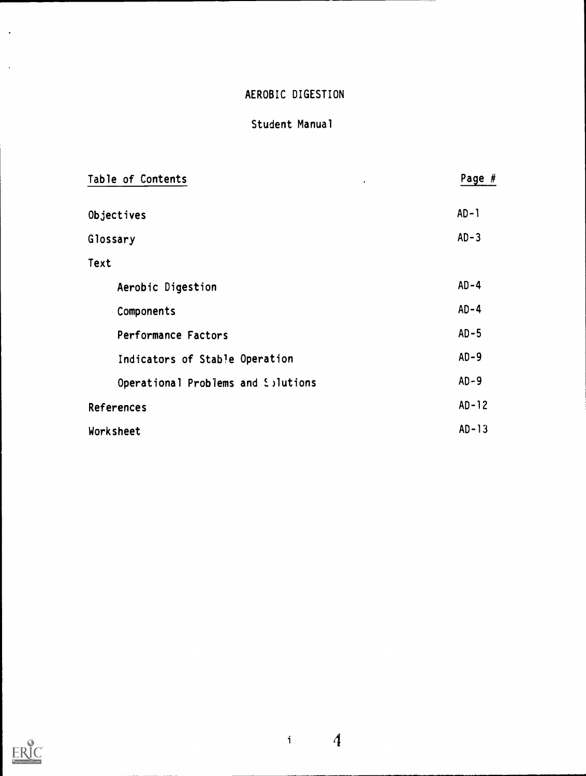## Student Manual

| Table of Contents<br>$\bullet$     | Page #   |
|------------------------------------|----------|
| Objectives                         | $AD-1$   |
| Glossary                           | $AD - 3$ |
| Text                               |          |
| Aerobic Digestion                  | $AD - 4$ |
| Components                         | $AD-4$   |
| Performance Factors                | $AD-5$   |
| Indicators of Stable Operation     | $AD-9$   |
| Operational Problems and Solutions | $AD-9$   |
| <b>References</b>                  | $AD-12$  |
| Worksheet                          | $AD-13$  |



 $\mathcal{A}$ 

 $\bar{\beta}$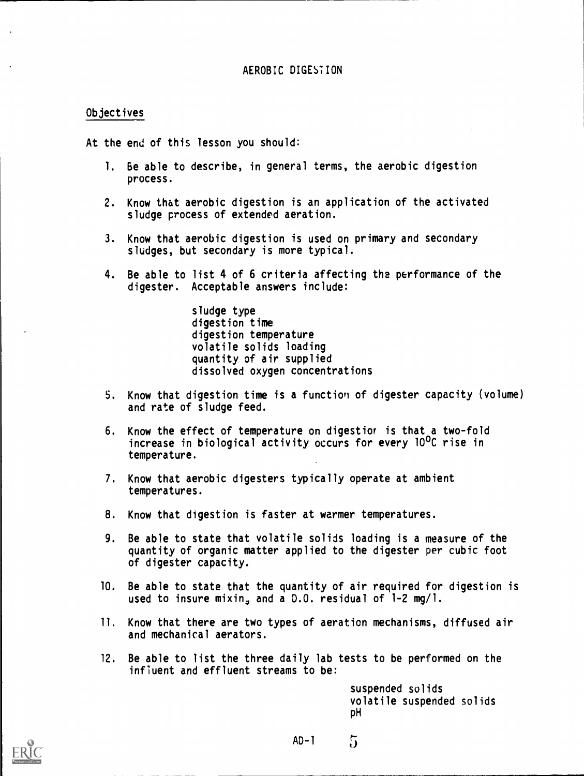#### Objectives

At the end of this lesson you should:

- 1. Be able to describe, in general terms, the aerobic digestion process.
- 2. Know that aerobic digestion is an application of the activated sludge process of extended aeration.
- 3. Know that aerobic digestion is used on primary and secondary sludges, but secondary is more typical.
- 4. Be able to list 4 of 6 criteria affecting the performance of the digester. Acceptable answers include:

sludge type digestion time digestion temperature volatile solids loading quantity of air supplied dissolved oxygen concentrations

- 5. Know that digestion time is a function of digester capacity (volume) and rate of sludge feed.
- 6. Know the effect of temperature on digestior is that a two-fold increase in biological activity occurs for every 10°C rise in temperature.
- 7. Know that aerobic digesters typically operate at ambient temperatures.
- 8. Know that digestion is faster at warmer temperatures.
- 9. Be able to state that volatile solids loading is a measure of the quantity of organic matter applied to the digester per cubic foot of digester capacity.
- 10. Be able to state that the quantity of air required for digestion is used to insure mixin, and a  $0.0$ . residual of  $1-2$  mg/l.
- 11. Know that there are two types of aeration mechanisms, diffused air and mechanical aerators.
- 12. Be able to list the three daily lab tests to be performed on the influent and effluent streams to be:

suspended solids volatile suspended solids pH

AD-1

 $5\overline{)}$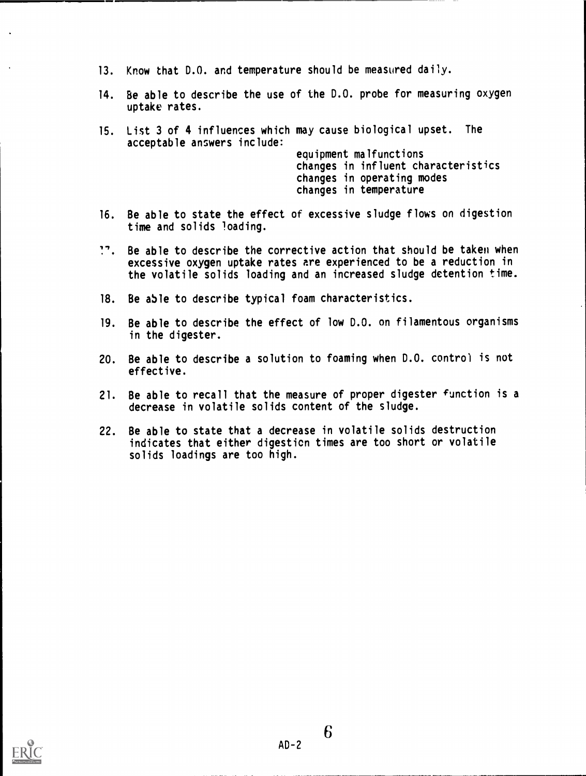- 13. Know that 0.0. and temperature should be measured daily.
- 14. Be able to describe the use of the D.O. probe for measuring oxygen uptake rates.
- 15. List 3 of 4 influences which may cause biological upset. The acceptable answers include:

equipment malfunctions changes in influent characteristics changes in operating modes changes in temperature

- 16. Be able to state the effect of excessive sludge flows on digestion time and solids loading.
- ". Be able to describe the corrective action that should be taken when excessive oxygen uptake rates are experienced to be a reduction in the volatile solids loading and an increased sludge detention time.
- 18. Be able to describe typical foam characteristics.
- 19. Be able to describe the effect of low D.O. on filamentous organisms in the digester.
- 20. Be able to describe a solution to foaming when D.O. control is not effective.
- 21. Be able to recall that the measure of proper digester function is a decrease in volatile solids content of the sludge.
- 22. Be able to state that a decrease in volatile solids destruction indicates that either digesticn times are too short or volatile solids loadings are too high.

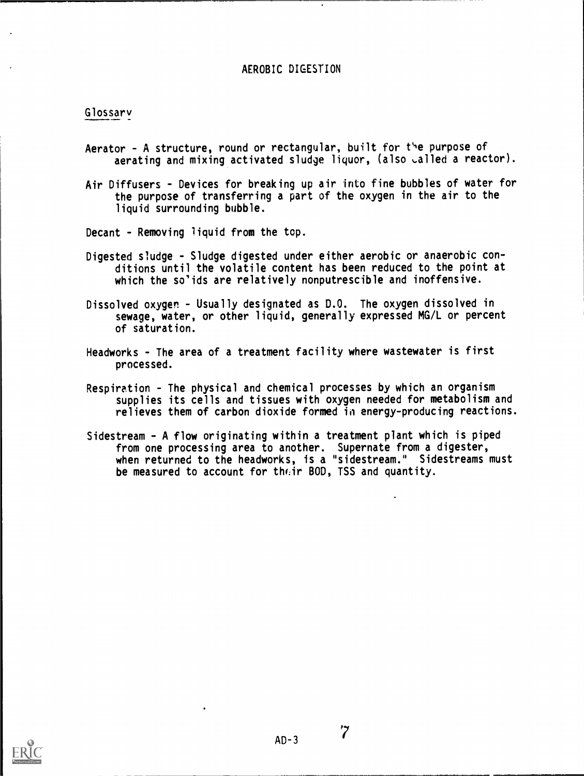#### Glossary

- Aerator A structure, round or rectangular, built for the purpose of aerating and mixing activated sludge liquor, (also called a reactor).
- Air Diffusers Devices for breaking up air into fine bubbles of water for the purpose of transferring a part of the oxygen in the air to the liquid surrounding bubble.

Decant - Removing liquid from the top.

- Digested sludge Sludge digested under either aerobic or anaerobic conditions until the volatile content has been reduced to the point at which the so'ids are relatively nonputrescible and inoffensive.
- Dissolved oxygen Usually designated as D.O. The oxygen dissolved in sewage, water, or other liquid, generally expressed MG/L or percent of saturation.
- Headworks The area of a treatment facility where wastewater is first processed.
- Respiration The physical and chemical processes by which an organism supplies its cells and tissues with oxygen needed for metabolism and relieves them of carbon dioxide formed in energy-producing reactions.
- Sidestream A flow originating within a treatment plant which is piped from one processing area to another. Supernate from a digester, when returned to the headworks, is a " sidestream." Sidestreams must be measured to account for their BOD, TSS and quantity.

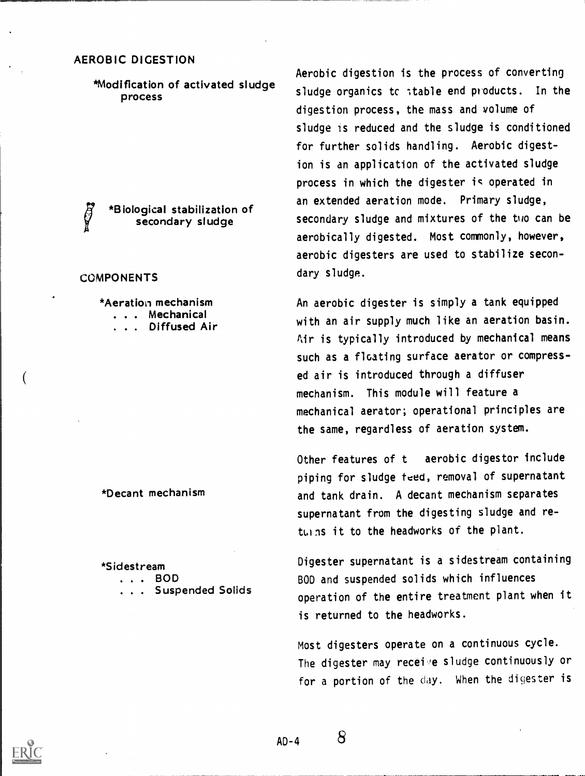\*Modification of activated sludge process

\*Biological stabilization of secondary sludge

#### **COMPONENTS**

\*Aeration mechanism

- . . . Mechanical
- . . . Diffused Air

\*Decant mechanism

\*Sidestream

- . . . BOD
- . . Suspended Solids

Aerobic digestion is the process of converting sludge organics to itable end products. In the digestion process, the mass and volume of sludge is reduced and the sludge is conditioned for further solids handling. Aerobic digestion is an application of the activated sludge process in which the digester is operated in an extended aeration mode. Primary sludge, secondary sludge and mixtures of the tho can be aerobically digested. Most commonly, however, aerobic digesters are used to stabilize secondary sludge.

An aerobic digester is simply a tank equipped with an air supply much like an aeration basin. Air is typically introduced by mechanical means such as a floating surface aerator or compressed air is introduced through a diffuser mechanism. This module will feature a mechanical aerator; operational principles are the same, regardless of aeration system.

Other features of t aerobic digestor include piping for sludge teed, removal of supernatant and tank drain. A decant mechanism separates supernatant from the digesting sludge and returns it to the headworks of the plant.

Digester supernatant is a sidestream containing BOD and suspended solids which influences operation of the entire treatment plant when it is returned to the headworks.

Most digesters operate on a continuous cycle. The digester may receive sludge continuously or for a portion of the day. When the digester is



 $AD - 4$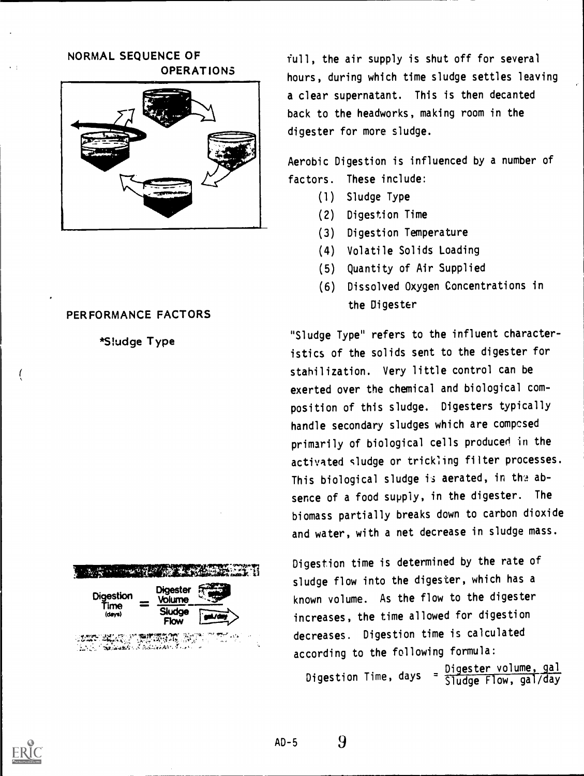#### NORMAL SEQUENCE OF OPERATIONS



#### PERFORMANCE FACTORS



 $V_{\rm max}^{\rm max} \sim 1.1$  , we can consider  $V_{\rm max}^{\rm max}$  and  $V_{\rm max}^{\rm max}$  and  $V_{\rm max}^{\rm max}$ 



,.!5? Ttii)r,41,411Myr 7e; <sup>r</sup> 7.4' tl 011rT..,, -

full, the air supply is shut off for several hours, during which time sludge settles leaving a clear supernatant. This is then decanted back to the headworks, making room in the digester for more sludge.

Aerobic Digestion is influenced by a number of factors. These include:

- (1) Sludge Type
- (2) Digestion Time
- (3) Digestion Temperature
- (4) Volatile Solids Loading
- (5) Quantity of Air Supplied
- (6) Dissolved Oxygen Concentrations in the Digester

"Sludge Type" refers to the influent characteristics of the solids sent to the digester for stahilization. Very little control can be exerted over the chemical and biological composition of this sludge. Digesters typically handle secondary sludges which are compcsed primarily of biological cells produced in the activated sludge or tricking filter processes. This biological sludge is aerated, in the absence of a food supply, in the digester. The biomass partially breaks down to carbon dioxide and water, with a net decrease in sludge mass.

Digestion time is determined by the rate of sludge flow into the digester, which has a known volume. As the flow to the digester increases, the time allowed for digestion decreases. Digestion time is calculated according to the following formula:

igester volume, gal Digestion Time, days =  $\frac{010}{51}$ Siudge riow, y <u>ester volume,</u> Flow, gal/day

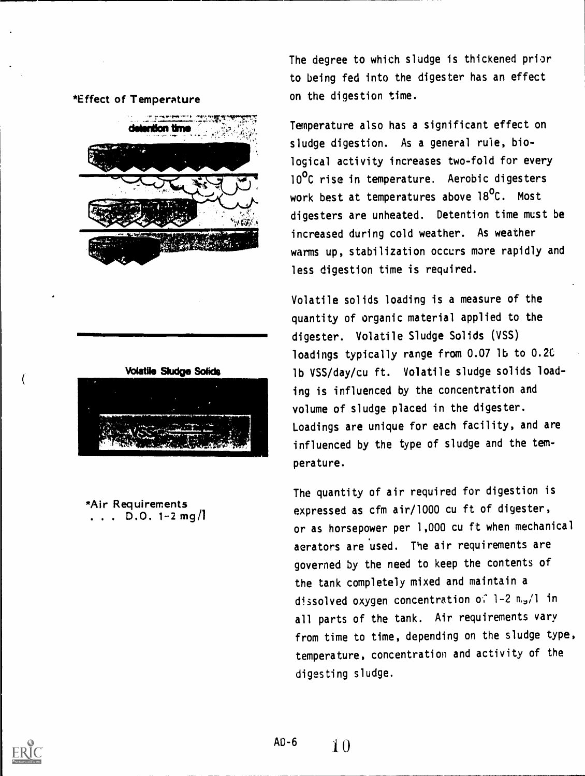#### \*Effect of Temperature





Temperature also has a significant effect on sludge digestion. As a general rule, biological activity increases two-fold for every 10<sup>o</sup>C rise in temperature. Aerobic digesters work best at temperatures above 18<sup>o</sup>C. Most digesters are unheated. Detention time must be increased during cold weather. As weather warms up, stabilization occurs more rapidly and less digestion time is required.

Volatile solids loading is a measure of the quantity of organic material applied to the digester. Volatile Sludge Solids (VSS) loadings typically range from 0.07 lb to 0.2C lb VSS/day/cu ft. Volatile sludge solids loading is influenced by the concentration and volume of sludge placed in the digester. Loadings are unique for each facility, and are influenced by the type of sludge and the temperature.

The quantity of air required for digestion is expressed as cfm air/1000 cu ft of digester, or as horsepower per 1,000 cu ft when mechanical aerators are used. The air requirements are governed by the need to keep the contents of the tank completely mixed and maintain a dissolved oxygen concentration of 1-2 m.,/l in all parts of the tank. Air requirements vary from time to time, depending on the sludge type, temperature, concentration and activity of the digesting sludge.



\*Air Requirements . . .  $D.0.1-2$  mg/

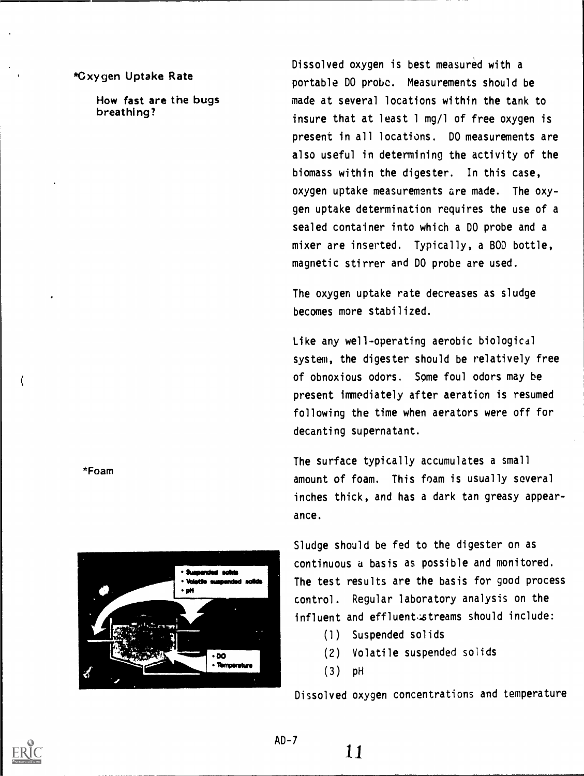#### \*Oxygen Uptake Rate

How fast are the bugs breathing?

Dissolved oxygen is best measured with a portable DO probe. Measurements should be made at several locations within the tank to insure that at least 1 mg/1 of free oxygen is present in all locations. DO measurements are also useful in determining the activity of the biomass within the digester. In this case, oxygen uptake measurements are made. The oxygen uptake determination requires the use of a sealed container into which a DO probe and a mixer are inserted. Typically, a BOD bottle, magnetic stirrer and DO probe are used.

The oxygen uptake rate decreases as sludge becomes more stabilized.

Like any well-operating aerobic biological system, the digester should be relatively free of obnoxious odors. Some foul odors may be present immediately after aeration is resumed following the time when aerators were off for decanting supernatant.

The surface typically accumulates a small amount of foam. This foam is usually several inches thick, and has a dark tan greasy appearance.

Sludge should be fed to the digester on as continuous a basis as possible and monitored. The test results are the basis for good process control. Regular laboratory analysis on the influent and effluent streams should include:

- (1) Suspended solids
- (2) Volatile suspended solids
- (3) pH

Dissolved oxygen concentrations and temperature





 $AD - 7$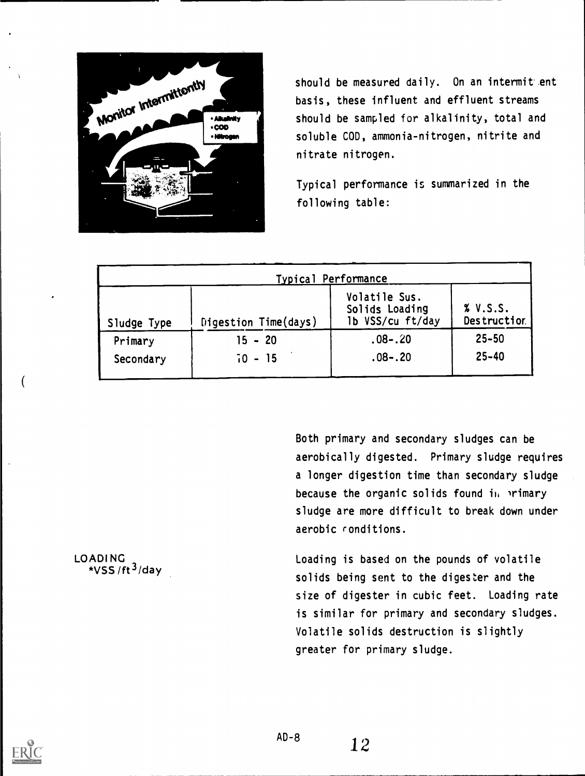

should be measured daily. On an intermit ent basis, these influent and effluent streams should be sampled for alkalinity, total and soluble COD, ammonia-nitrogen, nitrite and nitrate nitrogen.

Typical performance is summarized in the following table:

|             |                      | Typical Performance                                 |                         |
|-------------|----------------------|-----------------------------------------------------|-------------------------|
| Sludge Type | Digestion Time(days) | Volatile Sus.<br>Solids Loading<br>1b VSS/cu ft/day | % V.S.S.<br>Destruction |
| Primary     | $15 - 20$            | $.08 - .20$                                         | $25 - 50$               |
| Secondary   | $70 - 15$            | $.08 - .20$                                         | $25 - 40$               |

Both primary and secondary sludges can be aerobically digested. Primary sludge requires a longer digestion time than secondary sludge because the organic solids found in primary sludge are more difficult to break down under aerobic conditions.

Loading is based on the pounds of volatile solids being sent to the digester and the size of digester in cubic feet. Loading rate is similar for primary and secondary sludges. Volatile solids destruction is slightly greater for primary sludge.

LOADI NG \*VSS /ft $3$ /day

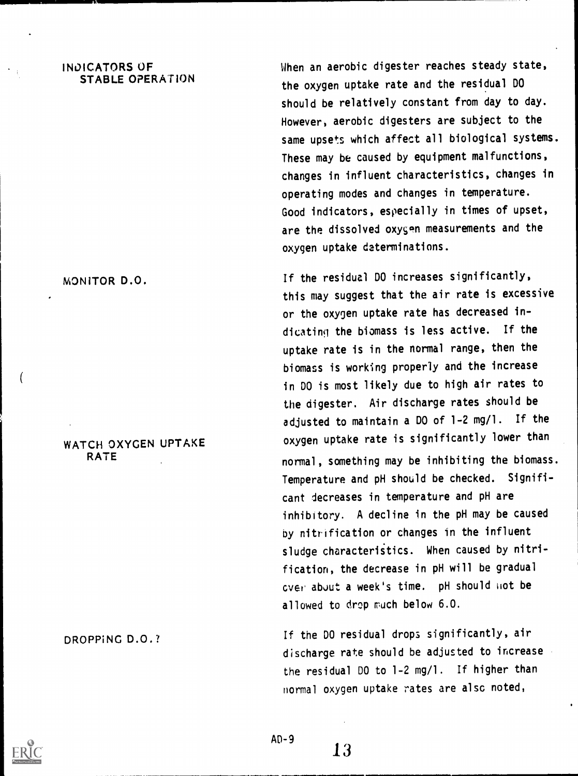#### INDICATORS OF STABLE OPERATION

When an aerobic digester reaches steady state, the oxygen uptake rate and the residual DO should be relatively constant from day to day. However, aerobic digesters are subject to the same upsets which affect all biological systems. These may be caused by equipment malfunctions, changes in influent characteristics, changes in operating modes and changes in temperature. Good indicators, especially in times of upset, are the dissolved oxygen measurements and the oxygen uptake determinations.

If the residual DO increases significantly, this may suggest that the air rate is excessive or the oxygen uptake rate has decreased indicating the biomass is less active. If the uptake rate is in the normal range, then the biomass is working properly and the increase in DO is most likely due to high air rates to the digester. Air discharge rates should be adjusted to maintain a DO of 1-2 mg/l. If the oxygen uptake rate is significantly lower than normal, something may be inhibiting the biomass. Temperature and pH should be checked. Significant decreases in temperature and pH are inhibitory. A decline in the pH may be caused by nitrification or changes in the influent sludge characteristics. When caused by nitrification, the decrease in pH will be gradual over about a week's time. pH should not be allowed to drop much below 6.0.

If the DO residual drops significantly, air discharge rate should be adjusted to increase the residual DO to 1-2 mg/l. If higher than normal oxygen uptake rates are alsc noted,

MONITOR D.O.

WATCH OXYGEN UPTAKE RATE

DROPPING D.O. ?

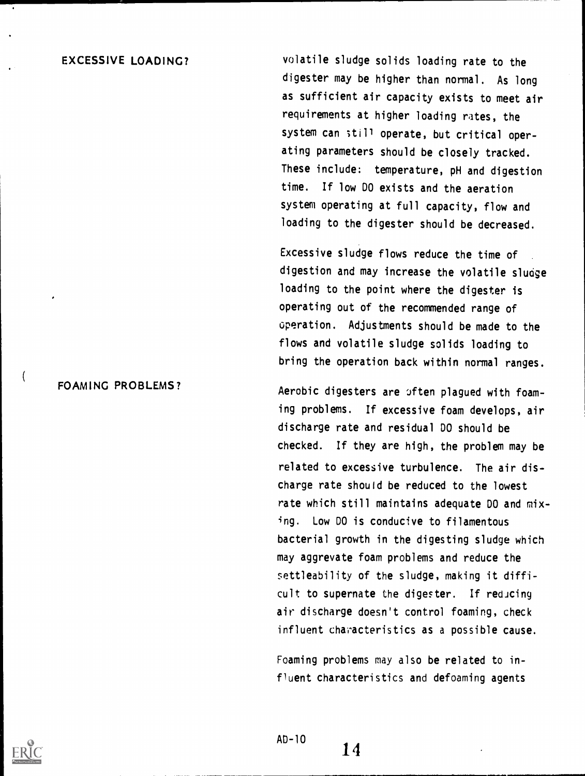#### EXCESSIVE LOADING?

volatile sludge solids loading rate to the digester may be higher than normal. As long as sufficient air capacity exists to meet air requirements at higher loading rates, the system can still operate, but critical operating parameters should be closely tracked. These include: temperature, pH and digestion time. If low DO exists and the aeration system operating at full capacity, flow and loading to the digester should be decreased.

Excessive sludge flows reduce the time of digestion and may increase the volatile sludge loading to the point where the digester is operating out of the recommended range of operation. Adjustments should be made to the flows and volatile sludge solids loading to bring the operation back within normal ranges.

Aerobic digesters are often plagued with foaming problems. If excessive foam develops, air discharge rate and residual DO should be checked. If they are high, the problem may be related to excessive turbulence. The air discharge rate should be reduced to the lowest rate which still maintains adequate DO and mixing. Low DO is conducive to filamentous bacterial growth in the digesting sludge which may aggrevate foam problems and reduce the settleability of the sludge, making it difficult to supernate the digester. If reducing air discharge doesn't control foaming, check influent characteristics as a possible cause.

Foaming problems may also be related to influent characteristics and defoaming agents



FOAMING PROBLEMS?

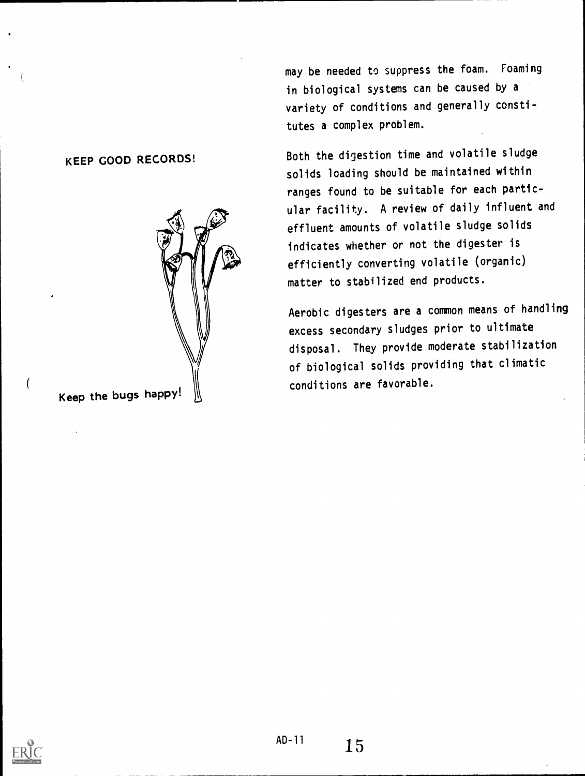may be needed to suppress the foam. Foaming in biological systems can be caused by a variety of conditions and generally constitutes a complex problem.

Both the digestion time and volatile sludge solids loading should be maintained within ranges found to be suitable for each particular facility. A review of daily influent and effluent amounts of volatile sludge solids indicates whether or not the digester is efficiently converting volatile (organic) matter to stabilized end products.

Aerobic digesters are a common means of handling excess secondary sludges prior to ultimate disposal. They provide moderate stabilization of biological solids providing that climatic conditions are favorable.

#### KEEP GOOD RECORDS!

Keep the bugs happy!



 $\overline{(}$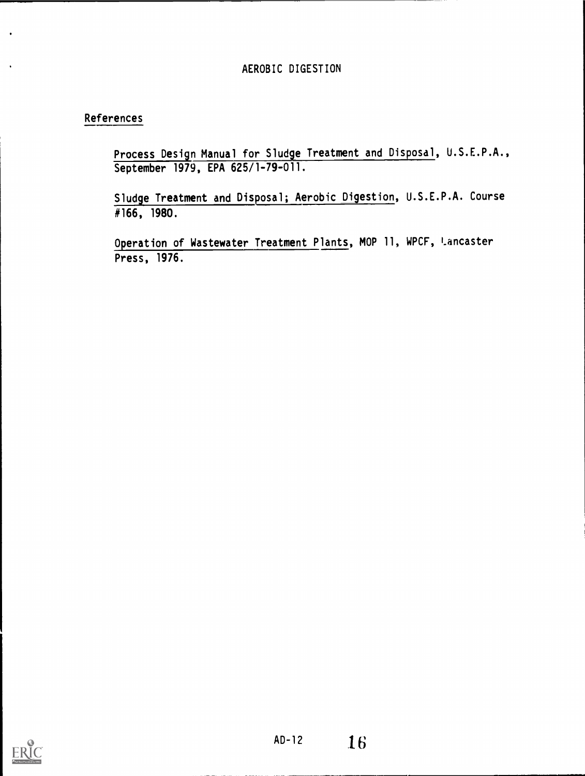#### References

Process Design Manual for Sludge Treatment and Disposal, U.S.E.P.A., September 1979, EPA 625/1-79-011.

Sludge Treatment and Disposal; Aerobic Digestion, U.S.E.P.A. Course #166, 1980.

Operation of Wastewater Treatment Plants, MOP 11, WPCF, Lancaster Press, 1976.

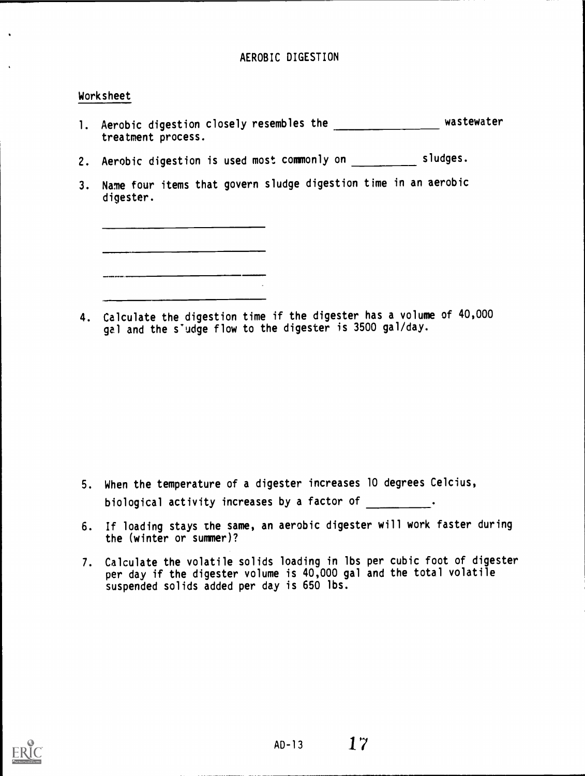#### Worksheet

- 1. Aerobic digestion closely resembles the **wastewater** wastewater treatment process.
- 2. Aerobic digestion is used most commonly on \_\_\_\_\_\_\_\_\_\_\_\_ sludges.
- 3. Name four items that govern sludge digestion time in an aerobic digester.

<u> 1950 - Jan Barnett, fransk politik (d. 1989)</u>

<u> 1980 - Jan Barnett, fransk kongresu og forske</u>

4. Calculate the digestion time if the digester has a volume of 40,000 gal and the s'udge flow to the digester is 3500 gal/day.

- 5. When the temperature of a digester increases 10 degrees Celcius, biological activity increases by a factor of \_\_\_\_\_\_\_\_\_.
- 6. If loading stays the same, an aerobic digester will work faster during the (winter or summer)?
- 7. Calculate the volatile solids loading in lbs per cubic foot of digester per day if the digester volume is 40,000 gal and the total volatile suspended solids added per day is 650 lbs.